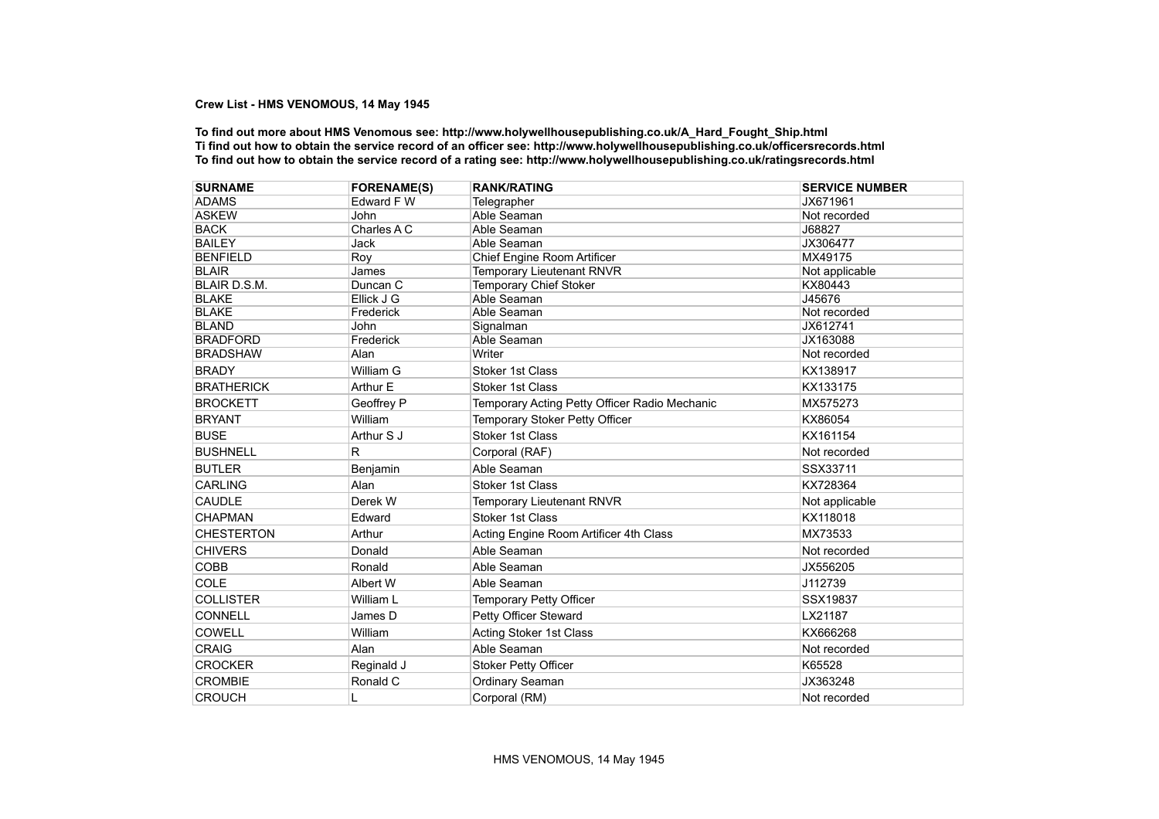## **Crew List - HMS VENOMOUS, 14 May 1945**

**To find out more about HMS Venomous see: http://www.holywellhousepublishing.co.uk/A\_Hard\_Fought\_Ship.html Ti find out how to obtain the service record of an officer see: http://www.holywellhousepublishing.co.uk/officersrecords.html To find out how to obtain the service record of a rating see: http://www.holywellhousepublishing.co.uk/ratingsrecords.html**

| <b>SURNAME</b>      | <b>FORENAME(S)</b> | <b>RANK/RATING</b>                            | <b>SERVICE NUMBER</b> |
|---------------------|--------------------|-----------------------------------------------|-----------------------|
| <b>ADAMS</b>        | Edward F W         | Telegrapher                                   | JX671961              |
| <b>ASKEW</b>        | <b>John</b>        | Able Seaman                                   | Not recorded          |
| <b>BACK</b>         | Charles A C        | Able Seaman                                   | J68827                |
| <b>BAILEY</b>       | <b>Jack</b>        | Able Seaman                                   | JX306477              |
| <b>BENFIELD</b>     | Roy                | Chief Engine Room Artificer                   | MX49175               |
| <b>BLAIR</b>        | James              | Temporary Lieutenant RNVR                     | Not applicable        |
| <b>BLAIR D.S.M.</b> | Duncan C           | <b>Temporary Chief Stoker</b>                 | KX80443               |
| <b>BLAKE</b>        | Ellick J G         | Able Seaman                                   | J45676                |
| <b>BLAKE</b>        | Frederick          | Able Seaman                                   | Not recorded          |
| <b>BLAND</b>        | John               | Signalman                                     | JX612741              |
| <b>BRADFORD</b>     | Frederick          | Able Seaman                                   | JX163088              |
| <b>BRADSHAW</b>     | Alan               | Writer                                        | Not recorded          |
| <b>BRADY</b>        | William G          | <b>Stoker 1st Class</b>                       | KX138917              |
| <b>BRATHERICK</b>   | Arthur E           | <b>Stoker 1st Class</b>                       | KX133175              |
| <b>BROCKETT</b>     | Geoffrey P         | Temporary Acting Petty Officer Radio Mechanic | MX575273              |
| <b>BRYANT</b>       | William            | Temporary Stoker Petty Officer                | KX86054               |
| <b>BUSE</b>         | Arthur S J         | <b>Stoker 1st Class</b>                       | KX161154              |
| <b>BUSHNELL</b>     | R.                 | Corporal (RAF)                                | Not recorded          |
| <b>BUTLER</b>       | Benjamin           | Able Seaman                                   | SSX33711              |
| <b>CARLING</b>      | Alan               | <b>Stoker 1st Class</b>                       | KX728364              |
| <b>CAUDLE</b>       | Derek W            | Temporary Lieutenant RNVR                     | Not applicable        |
| <b>CHAPMAN</b>      | Edward             | <b>Stoker 1st Class</b>                       | KX118018              |
| <b>CHESTERTON</b>   | Arthur             | Acting Engine Room Artificer 4th Class        | MX73533               |
| <b>CHIVERS</b>      | Donald             | Able Seaman                                   | Not recorded          |
| <b>COBB</b>         | Ronald             | Able Seaman                                   | JX556205              |
| COLE                | Albert W           | Able Seaman                                   | J112739               |
| <b>COLLISTER</b>    | William L          | Temporary Petty Officer                       | SSX19837              |
| <b>CONNELL</b>      | James D            | Petty Officer Steward                         | LX21187               |
| <b>COWELL</b>       | William            | Acting Stoker 1st Class                       | KX666268              |
| <b>CRAIG</b>        | Alan               | Able Seaman                                   | Not recorded          |
| <b>CROCKER</b>      | Reginald J         | <b>Stoker Petty Officer</b>                   | K65528                |
| <b>CROMBIE</b>      | Ronald C           | Ordinary Seaman                               | JX363248              |
| <b>CROUCH</b>       | L                  | Corporal (RM)                                 | Not recorded          |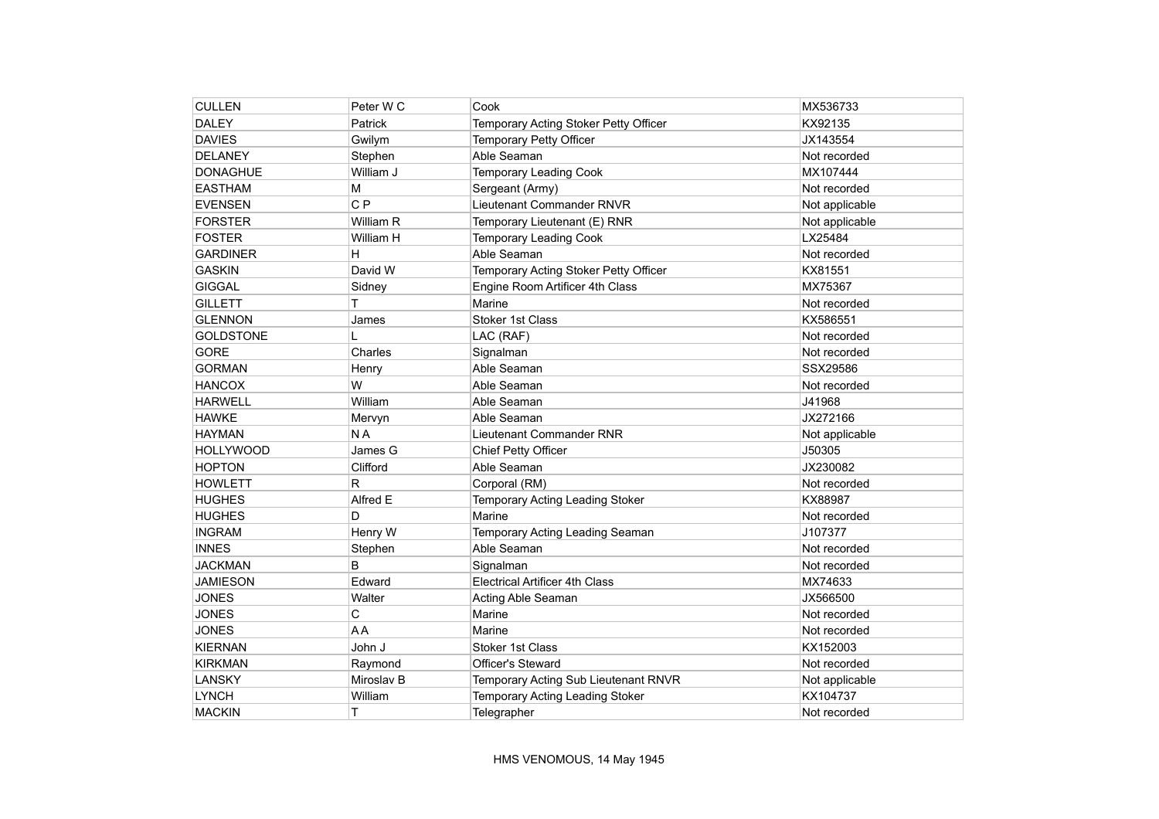| <b>CULLEN</b>    | Peter W C      | Cook                                  | MX536733       |
|------------------|----------------|---------------------------------------|----------------|
| <b>DALEY</b>     | Patrick        | Temporary Acting Stoker Petty Officer | KX92135        |
| <b>DAVIES</b>    | Gwilym         | Temporary Petty Officer               | JX143554       |
| <b>DELANEY</b>   | Stephen        | Able Seaman                           | Not recorded   |
| <b>DONAGHUE</b>  | William J      | <b>Temporary Leading Cook</b>         | MX107444       |
| <b>EASTHAM</b>   | M              | Sergeant (Army)                       | Not recorded   |
| <b>EVENSEN</b>   | C <sub>P</sub> | Lieutenant Commander RNVR             | Not applicable |
| <b>FORSTER</b>   | William R      | Temporary Lieutenant (E) RNR          | Not applicable |
| <b>FOSTER</b>    | William H      | <b>Temporary Leading Cook</b>         | LX25484        |
| <b>GARDINER</b>  | н              | Able Seaman                           | Not recorded   |
| <b>GASKIN</b>    | David W        | Temporary Acting Stoker Petty Officer | KX81551        |
| <b>GIGGAL</b>    | Sidney         | Engine Room Artificer 4th Class       | MX75367        |
| <b>GILLETT</b>   | T              | Marine                                | Not recorded   |
| <b>GLENNON</b>   | James          | Stoker 1st Class                      | KX586551       |
| <b>GOLDSTONE</b> |                | LAC (RAF)                             | Not recorded   |
| <b>GORE</b>      | Charles        | Signalman                             | Not recorded   |
| <b>GORMAN</b>    | Henry          | Able Seaman                           | SSX29586       |
| <b>HANCOX</b>    | W              | Able Seaman                           | Not recorded   |
| <b>HARWELL</b>   | William        | Able Seaman                           | J41968         |
| <b>HAWKE</b>     | Mervyn         | Able Seaman                           | JX272166       |
| <b>HAYMAN</b>    | N <sub>A</sub> | Lieutenant Commander RNR              | Not applicable |
| <b>HOLLYWOOD</b> | James G        | Chief Petty Officer                   | J50305         |
| <b>HOPTON</b>    | Clifford       | Able Seaman                           | JX230082       |
| <b>HOWLETT</b>   | R              | Corporal (RM)                         | Not recorded   |
| <b>HUGHES</b>    | Alfred E       | Temporary Acting Leading Stoker       | KX88987        |
| <b>HUGHES</b>    | D              | Marine                                | Not recorded   |
| <b>INGRAM</b>    | Henry W        | Temporary Acting Leading Seaman       | J107377        |
| <b>INNES</b>     | Stephen        | Able Seaman                           | Not recorded   |
| <b>JACKMAN</b>   | B              | Signalman                             | Not recorded   |
| <b>JAMIESON</b>  | Edward         | <b>Electrical Artificer 4th Class</b> | MX74633        |
| <b>JONES</b>     | Walter         | Acting Able Seaman                    | JX566500       |
| <b>JONES</b>     | С              | Marine                                | Not recorded   |
| <b>JONES</b>     | AA             | Marine                                | Not recorded   |
| <b>KIERNAN</b>   | John J         | Stoker 1st Class                      | KX152003       |
| <b>KIRKMAN</b>   | Raymond        | Officer's Steward                     | Not recorded   |
| LANSKY           | Miroslav B     | Temporary Acting Sub Lieutenant RNVR  | Not applicable |
| <b>LYNCH</b>     | William        | Temporary Acting Leading Stoker       | KX104737       |
| <b>MACKIN</b>    | T              | Telegrapher                           | Not recorded   |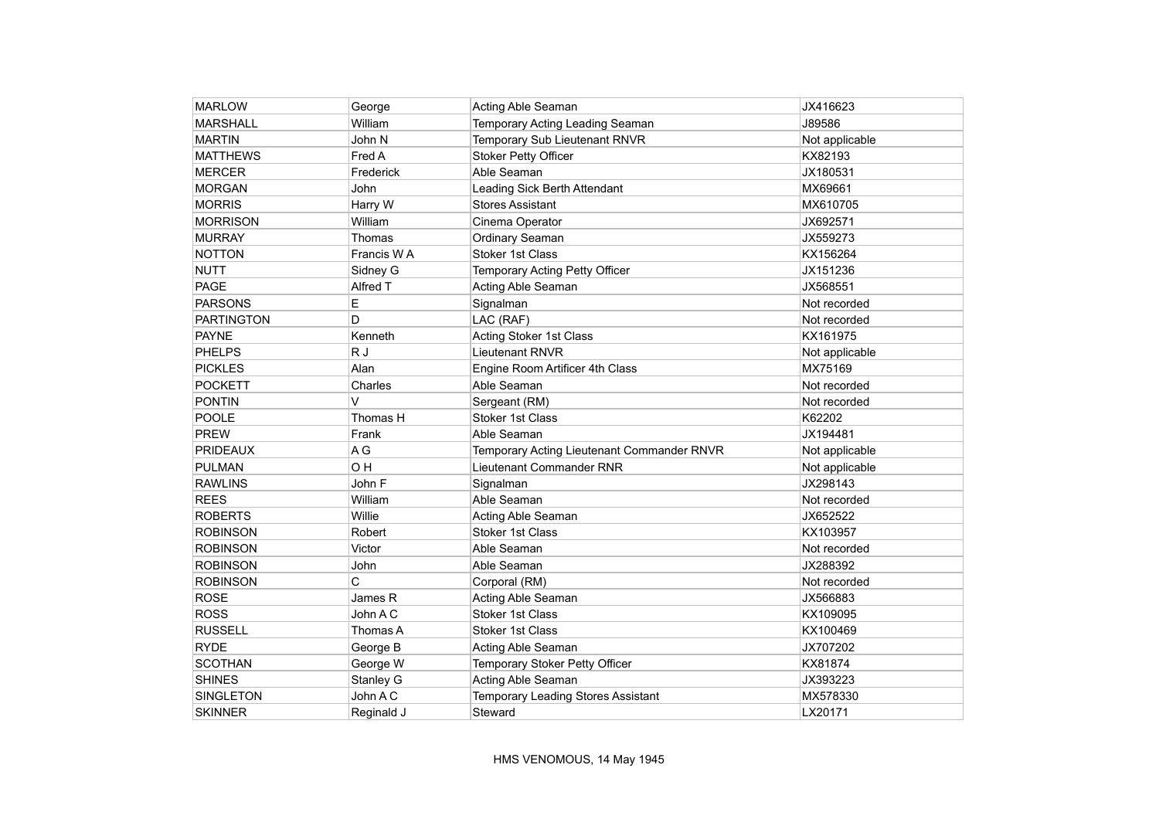| <b>MARLOW</b>     | George     | Acting Able Seaman                         | JX416623       |
|-------------------|------------|--------------------------------------------|----------------|
| <b>MARSHALL</b>   | William    | Temporary Acting Leading Seaman            | J89586         |
| <b>MARTIN</b>     | John N     | Temporary Sub Lieutenant RNVR              | Not applicable |
| <b>MATTHEWS</b>   | Fred A     | <b>Stoker Petty Officer</b>                | KX82193        |
| <b>MERCER</b>     | Frederick  | Able Seaman                                | JX180531       |
| <b>MORGAN</b>     | John       | Leading Sick Berth Attendant               | MX69661        |
| <b>MORRIS</b>     | Harry W    | <b>Stores Assistant</b>                    | MX610705       |
| <b>MORRISON</b>   | William    | Cinema Operator                            | JX692571       |
| <b>MURRAY</b>     | Thomas     | Ordinary Seaman                            | JX559273       |
| <b>NOTTON</b>     | Francis WA | <b>Stoker 1st Class</b>                    | KX156264       |
| <b>NUTT</b>       | Sidney G   | Temporary Acting Petty Officer             | JX151236       |
| PAGE              | Alfred T   | Acting Able Seaman                         | JX568551       |
| PARSONS           | E          | Signalman                                  | Not recorded   |
| <b>PARTINGTON</b> | D          | LAC (RAF)                                  | Not recorded   |
| <b>PAYNE</b>      | Kenneth    | <b>Acting Stoker 1st Class</b>             | KX161975       |
| <b>PHELPS</b>     | R J        | <b>Lieutenant RNVR</b>                     | Not applicable |
| <b>PICKLES</b>    | Alan       | Engine Room Artificer 4th Class            | MX75169        |
| <b>POCKETT</b>    | Charles    | Able Seaman                                | Not recorded   |
| <b>PONTIN</b>     | V          | Sergeant (RM)                              | Not recorded   |
| <b>POOLE</b>      | Thomas H   | <b>Stoker 1st Class</b>                    | K62202         |
| <b>PREW</b>       | Frank      | Able Seaman                                | JX194481       |
| <b>PRIDEAUX</b>   | A G        | Temporary Acting Lieutenant Commander RNVR | Not applicable |
| <b>PULMAN</b>     | OH         | Lieutenant Commander RNR                   | Not applicable |
| <b>RAWLINS</b>    | John F     | Signalman                                  | JX298143       |
| <b>REES</b>       | William    | Able Seaman                                | Not recorded   |
| <b>ROBERTS</b>    | Willie     | Acting Able Seaman                         | JX652522       |
| <b>ROBINSON</b>   | Robert     | Stoker 1st Class                           | KX103957       |
| <b>ROBINSON</b>   | Victor     | Able Seaman                                | Not recorded   |
| <b>ROBINSON</b>   | John       | Able Seaman                                | JX288392       |
| <b>ROBINSON</b>   | C          | Corporal (RM)                              | Not recorded   |
| <b>ROSE</b>       | James R    | Acting Able Seaman                         | JX566883       |
| <b>ROSS</b>       | John A C   | Stoker 1st Class                           | KX109095       |
| <b>RUSSELL</b>    | Thomas A   | <b>Stoker 1st Class</b>                    | KX100469       |
| <b>RYDE</b>       | George B   | Acting Able Seaman                         | JX707202       |
| <b>SCOTHAN</b>    | George W   | Temporary Stoker Petty Officer             | KX81874        |
| <b>SHINES</b>     | Stanley G  | Acting Able Seaman                         | JX393223       |
| <b>SINGLETON</b>  | John A C   | Temporary Leading Stores Assistant         | MX578330       |
| <b>SKINNER</b>    | Reginald J | Steward                                    | LX20171        |